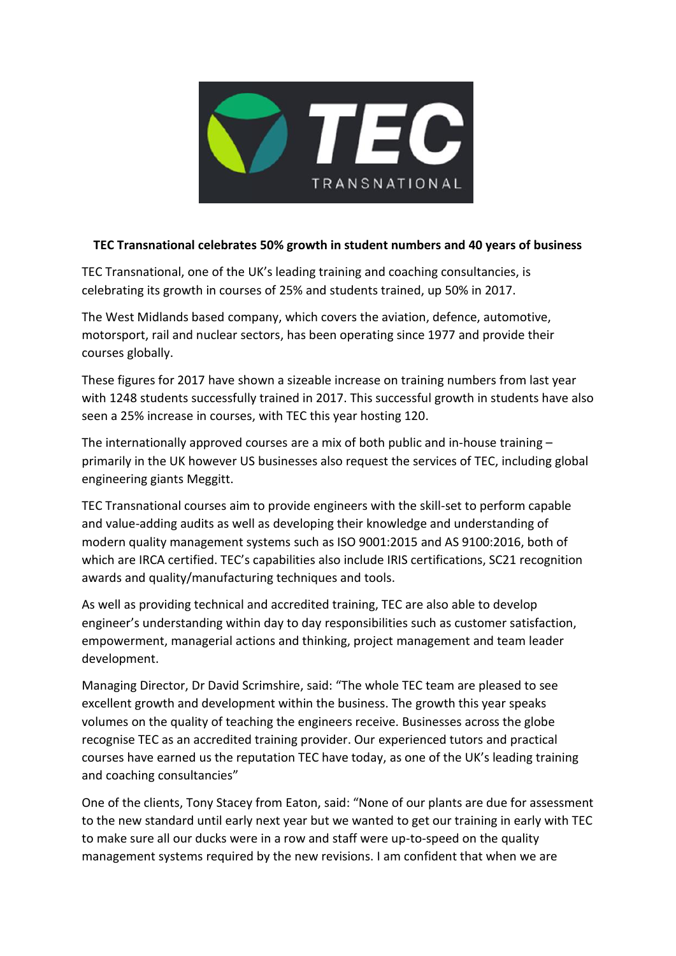

## **TEC Transnational celebrates 50% growth in student numbers and 40 years of business**

TEC Transnational, one of the UK's leading training and coaching consultancies, is celebrating its growth in courses of 25% and students trained, up 50% in 2017.

The West Midlands based company, which covers the aviation, defence, automotive, motorsport, rail and nuclear sectors, has been operating since 1977 and provide their courses globally.

These figures for 2017 have shown a sizeable increase on training numbers from last year with 1248 students successfully trained in 2017. This successful growth in students have also seen a 25% increase in courses, with TEC this year hosting 120.

The internationally approved courses are a mix of both public and in-house training – primarily in the UK however US businesses also request the services of TEC, including global engineering giants Meggitt.

TEC Transnational courses aim to provide engineers with the skill-set to perform capable and value-adding audits as well as developing their knowledge and understanding of modern quality management systems such as ISO 9001:2015 and AS 9100:2016, both of which are IRCA certified. TEC's capabilities also include IRIS certifications, SC21 recognition awards and quality/manufacturing techniques and tools.

As well as providing technical and accredited training, TEC are also able to develop engineer's understanding within day to day responsibilities such as customer satisfaction, empowerment, managerial actions and thinking, project management and team leader development.

Managing Director, Dr David Scrimshire, said: "The whole TEC team are pleased to see excellent growth and development within the business. The growth this year speaks volumes on the quality of teaching the engineers receive. Businesses across the globe recognise TEC as an accredited training provider. Our experienced tutors and practical courses have earned us the reputation TEC have today, as one of the UK's leading training and coaching consultancies"

One of the clients, Tony Stacey from Eaton, said: "None of our plants are due for assessment to the new standard until early next year but we wanted to get our training in early with TEC to make sure all our ducks were in a row and staff were up-to-speed on the quality management systems required by the new revisions. I am confident that when we are